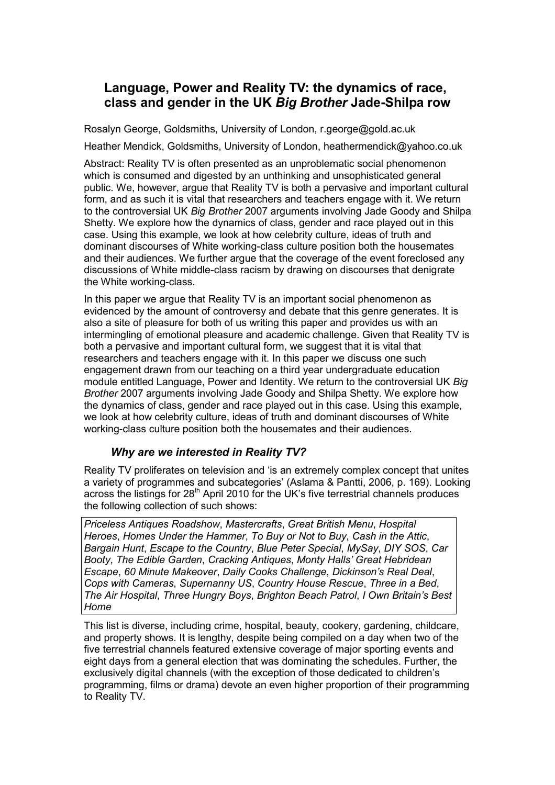# **Language, Power and Reality TV: the dynamics of race, class and gender in the UK** *Big Brother* **Jade-Shilpa row**

Rosalyn George, Goldsmiths, University of London, r.george@gold.ac.uk

Heather Mendick, Goldsmiths, University of London, heathermendick@yahoo.co.uk

Abstract: Reality TV is often presented as an unproblematic social phenomenon which is consumed and digested by an unthinking and unsophisticated general public. We, however, argue that Reality TV is both a pervasive and important cultural form, and as such it is vital that researchers and teachers engage with it. We return to the controversial UK *Big Brother* 2007 arguments involving Jade Goody and Shilpa Shetty. We explore how the dynamics of class, gender and race played out in this case. Using this example, we look at how celebrity culture, ideas of truth and dominant discourses of White working-class culture position both the housemates and their audiences. We further argue that the coverage of the event foreclosed any discussions of White middle-class racism by drawing on discourses that denigrate the White working-class.

In this paper we argue that Reality TV is an important social phenomenon as evidenced by the amount of controversy and debate that this genre generates. It is also a site of pleasure for both of us writing this paper and provides us with an intermingling of emotional pleasure and academic challenge. Given that Reality TV is both a pervasive and important cultural form, we suggest that it is vital that researchers and teachers engage with it. In this paper we discuss one such engagement drawn from our teaching on a third year undergraduate education module entitled Language, Power and Identity. We return to the controversial UK *Big Brother* 2007 arguments involving Jade Goody and Shilpa Shetty. We explore how the dynamics of class, gender and race played out in this case. Using this example, we look at how celebrity culture, ideas of truth and dominant discourses of White working-class culture position both the housemates and their audiences.

## *Why are we interested in Reality TV?*

Reality TV proliferates on television and 'is an extremely complex concept that unites a variety of programmes and subcategories' (Aslama & Pantti, 2006, p. 169). Looking across the listings for  $28<sup>th</sup>$  April 2010 for the UK's five terrestrial channels produces the following collection of such shows:

*Priceless Antiques Roadshow*, *Mastercrafts*, *Great British Menu*, *Hospital Heroes*, *Homes Under the Hammer*, *To Buy or Not to Buy*, *Cash in the Attic*, *Bargain Hunt*, *Escape to the Country*, *Blue Peter Special*, *MySay*, *DIY SOS*, *Car Booty*, *The Edible Garden*, *Cracking Antiques*, *Monty Halls' Great Hebridean Escape*, *60 Minute Makeover*, *Daily Cooks Challenge*, *Dickinson's Real Deal*, *Cops with Cameras*, *Supernanny US*, *Country House Rescue*, *Three in a Bed*, *The Air Hospital*, *Three Hungry Boys*, *Brighton Beach Patrol*, *I Own Britain's Best Home* 

This list is diverse, including crime, hospital, beauty, cookery, gardening, childcare, and property shows. It is lengthy, despite being compiled on a day when two of the five terrestrial channels featured extensive coverage of major sporting events and eight days from a general election that was dominating the schedules. Further, the exclusively digital channels (with the exception of those dedicated to children's programming, films or drama) devote an even higher proportion of their programming to Reality TV.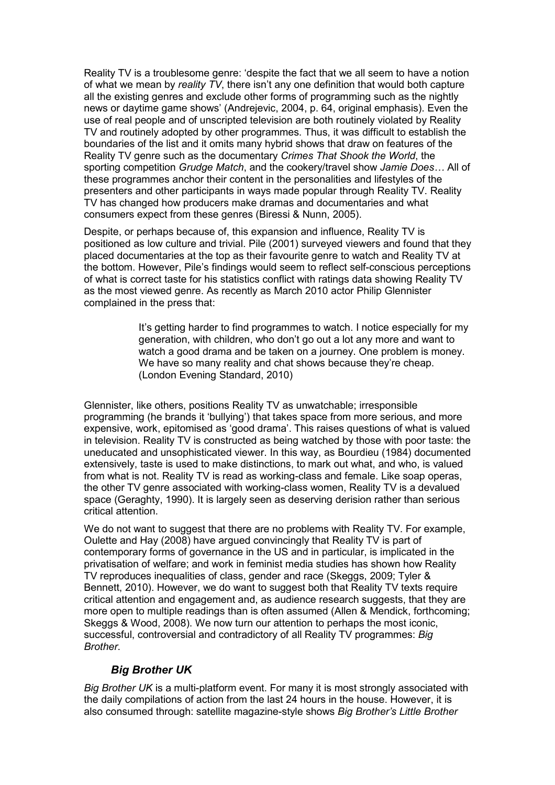Reality TV is a troublesome genre: 'despite the fact that we all seem to have a notion of what we mean by *reality TV*, there isn't any one definition that would both capture all the existing genres and exclude other forms of programming such as the nightly news or daytime game shows' (Andrejevic, 2004, p. 64, original emphasis). Even the use of real people and of unscripted television are both routinely violated by Reality TV and routinely adopted by other programmes. Thus, it was difficult to establish the boundaries of the list and it omits many hybrid shows that draw on features of the Reality TV genre such as the documentary *Crimes That Shook the World*, the sporting competition *Grudge Match*, and the cookery/travel show *Jamie Does…* All of these programmes anchor their content in the personalities and lifestyles of the presenters and other participants in ways made popular through Reality TV. Reality TV has changed how producers make dramas and documentaries and what consumers expect from these genres (Biressi & Nunn, 2005).

Despite, or perhaps because of, this expansion and influence, Reality TV is positioned as low culture and trivial. Pile (2001) surveyed viewers and found that they placed documentaries at the top as their favourite genre to watch and Reality TV at the bottom. However, Pile's findings would seem to reflect self-conscious perceptions of what is correct taste for his statistics conflict with ratings data showing Reality TV as the most viewed genre. As recently as March 2010 actor Philip Glennister complained in the press that:

> It's getting harder to find programmes to watch. I notice especially for my generation, with children, who don't go out a lot any more and want to watch a good drama and be taken on a journey. One problem is money. We have so many reality and chat shows because they're cheap. (London Evening Standard, 2010)

Glennister, like others, positions Reality TV as unwatchable; irresponsible programming (he brands it 'bullying') that takes space from more serious, and more expensive, work, epitomised as 'good drama'. This raises questions of what is valued in television. Reality TV is constructed as being watched by those with poor taste: the uneducated and unsophisticated viewer. In this way, as Bourdieu (1984) documented extensively, taste is used to make distinctions, to mark out what, and who, is valued from what is not. Reality TV is read as working-class and female. Like soap operas, the other TV genre associated with working-class women, Reality TV is a devalued space (Geraghty, 1990). It is largely seen as deserving derision rather than serious critical attention.

We do not want to suggest that there are no problems with Reality TV. For example, Oulette and Hay (2008) have argued convincingly that Reality TV is part of contemporary forms of governance in the US and in particular, is implicated in the privatisation of welfare; and work in feminist media studies has shown how Reality TV reproduces inequalities of class, gender and race (Skeggs, 2009; Tyler & Bennett, 2010). However, we do want to suggest both that Reality TV texts require critical attention and engagement and, as audience research suggests, that they are more open to multiple readings than is often assumed (Allen & Mendick, forthcoming; Skeggs & Wood, 2008). We now turn our attention to perhaps the most iconic, successful, controversial and contradictory of all Reality TV programmes: *Big Brother*.

## *Big Brother UK*

*Big Brother UK* is a multi-platform event. For many it is most strongly associated with the daily compilations of action from the last 24 hours in the house. However, it is also consumed through: satellite magazine-style shows *Big Brother's Little Brother*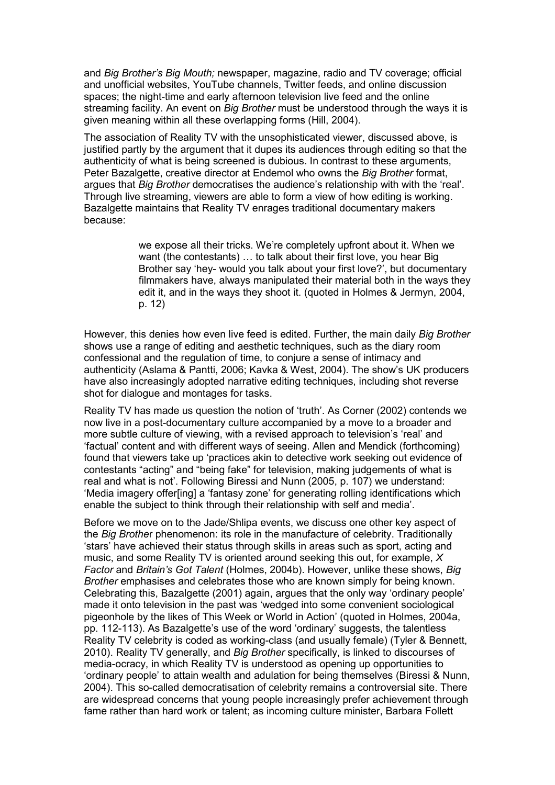and *Big Brother's Big Mouth;* newspaper, magazine, radio and TV coverage; official and unofficial websites, YouTube channels, Twitter feeds, and online discussion spaces; the night-time and early afternoon television live feed and the online streaming facility. An event on *Big Brother* must be understood through the ways it is given meaning within all these overlapping forms (Hill, 2004).

The association of Reality TV with the unsophisticated viewer, discussed above, is justified partly by the argument that it dupes its audiences through editing so that the authenticity of what is being screened is dubious. In contrast to these arguments, Peter Bazalgette, creative director at Endemol who owns the *Big Brother* format, argues that *Big Brother* democratises the audience's relationship with with the 'real'. Through live streaming, viewers are able to form a view of how editing is working. Bazalgette maintains that Reality TV enrages traditional documentary makers because:

> we expose all their tricks. We're completely upfront about it. When we want (the contestants) … to talk about their first love, you hear Big Brother say 'hey- would you talk about your first love?', but documentary filmmakers have, always manipulated their material both in the ways they edit it, and in the ways they shoot it. (quoted in Holmes & Jermyn, 2004, p. 12)

However, this denies how even live feed is edited. Further, the main daily *Big Brother* shows use a range of editing and aesthetic techniques, such as the diary room confessional and the regulation of time, to conjure a sense of intimacy and authenticity (Aslama & Pantti, 2006; Kavka & West, 2004). The show's UK producers have also increasingly adopted narrative editing techniques, including shot reverse shot for dialogue and montages for tasks.

Reality TV has made us question the notion of 'truth'. As Corner (2002) contends we now live in a post-documentary culture accompanied by a move to a broader and more subtle culture of viewing, with a revised approach to television's 'real' and 'factual' content and with different ways of seeing. Allen and Mendick (forthcoming) found that viewers take up 'practices akin to detective work seeking out evidence of contestants "acting" and "being fake" for television, making judgements of what is real and what is not'. Following Biressi and Nunn (2005, p. 107) we understand: 'Media imagery offer[ing] a 'fantasy zone' for generating rolling identifications which enable the subject to think through their relationship with self and media'.

Before we move on to the Jade/Shlipa events, we discuss one other key aspect of the *Big Brothe*r phenomenon: its role in the manufacture of celebrity. Traditionally 'stars' have achieved their status through skills in areas such as sport, acting and music, and some Reality TV is oriented around seeking this out, for example, *X Factor* and *Britain's Got Talent* (Holmes, 2004b). However, unlike these shows, *Big Brother* emphasises and celebrates those who are known simply for being known. Celebrating this, Bazalgette (2001) again, argues that the only way 'ordinary people' made it onto television in the past was 'wedged into some convenient sociological pigeonhole by the likes of This Week or World in Action' (quoted in Holmes, 2004a, pp. 112-113). As Bazalgette's use of the word 'ordinary' suggests, the talentless Reality TV celebrity is coded as working-class (and usually female) (Tyler & Bennett, 2010). Reality TV generally, and *Big Brother* specifically, is linked to discourses of media-ocracy, in which Reality TV is understood as opening up opportunities to 'ordinary people' to attain wealth and adulation for being themselves (Biressi & Nunn, 2004). This so-called democratisation of celebrity remains a controversial site. There are widespread concerns that young people increasingly prefer achievement through fame rather than hard work or talent; as incoming culture minister, Barbara Follett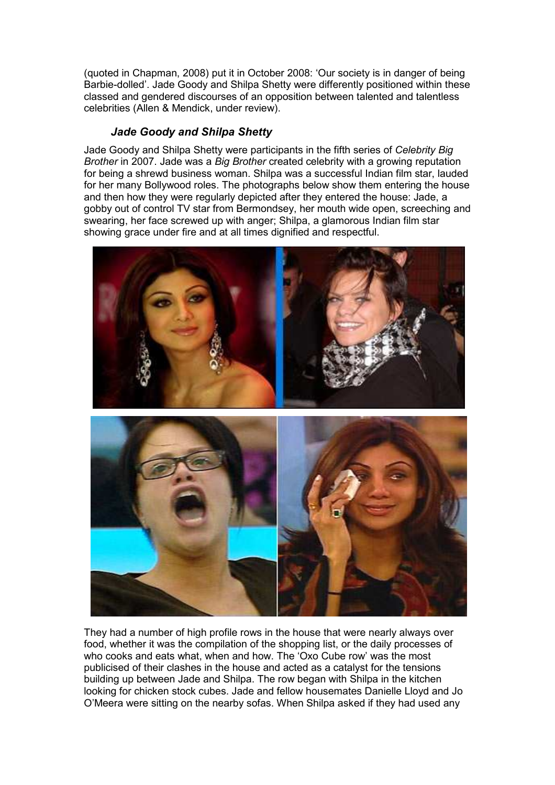(quoted in Chapman, 2008) put it in October 2008: 'Our society is in danger of being Barbie-dolled'. Jade Goody and Shilpa Shetty were differently positioned within these classed and gendered discourses of an opposition between talented and talentless celebrities (Allen & Mendick, under review).

#### *Jade Goody and Shilpa Shetty*

Jade Goody and Shilpa Shetty were participants in the fifth series of *Celebrity Big Brother* in 2007. Jade was a *Big Brother* created celebrity with a growing reputation for being a shrewd business woman. Shilpa was a successful Indian film star, lauded for her many Bollywood roles. The photographs below show them entering the house and then how they were regularly depicted after they entered the house: Jade, a gobby out of control TV star from Bermondsey, her mouth wide open, screeching and swearing, her face screwed up with anger; Shilpa, a glamorous Indian film star showing grace under fire and at all times dignified and respectful.



They had a number of high profile rows in the house that were nearly always over food, whether it was the compilation of the shopping list, or the daily processes of who cooks and eats what, when and how. The 'Oxo Cube row' was the most publicised of their clashes in the house and acted as a catalyst for the tensions building up between Jade and Shilpa. The row began with Shilpa in the kitchen looking for chicken stock cubes. Jade and fellow housemates Danielle Lloyd and Jo O'Meera were sitting on the nearby sofas. When Shilpa asked if they had used any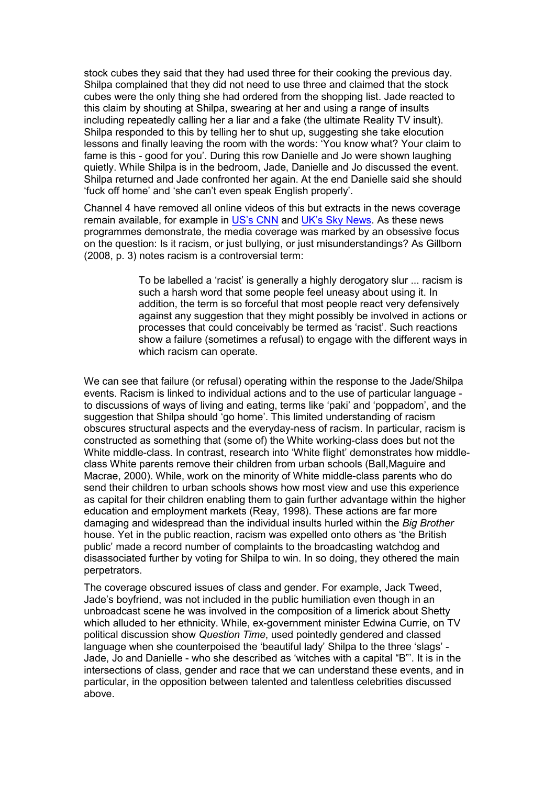stock cubes they said that they had used three for their cooking the previous day. Shilpa complained that they did not need to use three and claimed that the stock cubes were the only thing she had ordered from the shopping list. Jade reacted to this claim by shouting at Shilpa, swearing at her and using a range of insults including repeatedly calling her a liar and a fake (the ultimate Reality TV insult). Shilpa responded to this by telling her to shut up, suggesting she take elocution lessons and finally leaving the room with the words: 'You know what? Your claim to fame is this - good for you'. During this row Danielle and Jo were shown laughing quietly. While Shilpa is in the bedroom, Jade, Danielle and Jo discussed the event. Shilpa returned and Jade confronted her again. At the end Danielle said she should 'fuck off home' and 'she can't even speak English properly'.

Channel 4 have removed all online videos of this but extracts in the news coverage remain available, for example in [US's CNN](http://www.youtube.com/watch?v=tUnfvr57uck&feature=related) and [UK's Sky News](http://www.youtube.com/watch?v=u7sqAIPR50c&feature=related). As these news programmes demonstrate, the media coverage was marked by an obsessive focus on the question: Is it racism, or just bullying, or just misunderstandings? As Gillborn (2008, p. 3) notes racism is a controversial term:

> To be labelled a 'racist' is generally a highly derogatory slur ... racism is such a harsh word that some people feel uneasy about using it. In addition, the term is so forceful that most people react very defensively against any suggestion that they might possibly be involved in actions or processes that could conceivably be termed as 'racist'. Such reactions show a failure (sometimes a refusal) to engage with the different ways in which racism can operate.

We can see that failure (or refusal) operating within the response to the Jade/Shilpa events. Racism is linked to individual actions and to the use of particular language to discussions of ways of living and eating, terms like 'paki' and 'poppadom', and the suggestion that Shilpa should 'go home'. This limited understanding of racism obscures structural aspects and the everyday-ness of racism. In particular, racism is constructed as something that (some of) the White working-class does but not the White middle-class. In contrast, research into 'White flight' demonstrates how middleclass White parents remove their children from urban schools (Ball,Maguire and Macrae, 2000). While, work on the minority of White middle-class parents who do send their children to urban schools shows how most view and use this experience as capital for their children enabling them to gain further advantage within the higher education and employment markets (Reay, 1998). These actions are far more damaging and widespread than the individual insults hurled within the *Big Brother* house. Yet in the public reaction, racism was expelled onto others as 'the British public' made a record number of complaints to the broadcasting watchdog and disassociated further by voting for Shilpa to win. In so doing, they othered the main perpetrators.

The coverage obscured issues of class and gender. For example, Jack Tweed, Jade's boyfriend, was not included in the public humiliation even though in an unbroadcast scene he was involved in the composition of a limerick about Shetty which alluded to her ethnicity. While, ex-government minister Edwina Currie, on TV political discussion show *Question Time*, used pointedly gendered and classed language when she counterpoised the 'beautiful lady' Shilpa to the three 'slags' - Jade, Jo and Danielle - who she described as 'witches with a capital "B"'. It is in the intersections of class, gender and race that we can understand these events, and in particular, in the opposition between talented and talentless celebrities discussed above.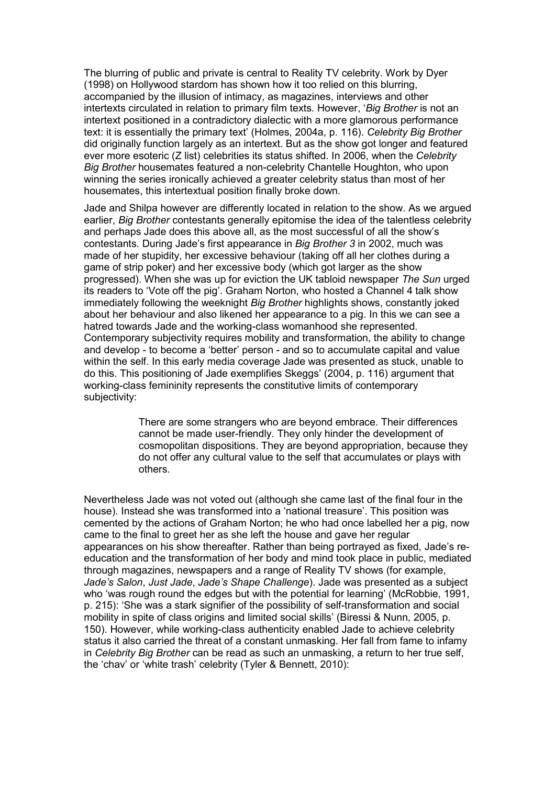The blurring of public and private is central to Reality TV celebrity. Work by Dyer (1998) on Hollywood stardom has shown how it too relied on this blurring, accompanied by the illusion of intimacy, as magazines, interviews and other intertexts circulated in relation to primary film texts. However, '*Big Brother* is not an intertext positioned in a contradictory dialectic with a more glamorous performance text: it is essentially the primary text' (Holmes, 2004a, p. 116). *Celebrity Big Brother* did originally function largely as an intertext. But as the show got longer and featured ever more esoteric (Z list) celebrities its status shifted. In 2006, when the *Celebrity Big Brother* housemates featured a non-celebrity Chantelle Houghton, who upon winning the series ironically achieved a greater celebrity status than most of her housemates, this intertextual position finally broke down.

Jade and Shilpa however are differently located in relation to the show. As we argued earlier, *Big Brother* contestants generally epitomise the idea of the talentless celebrity and perhaps Jade does this above all, as the most successful of all the show's contestants. During Jade's first appearance in *Big Brother 3* in 2002, much was made of her stupidity, her excessive behaviour (taking off all her clothes during a game of strip poker) and her excessive body (which got larger as the show progressed). When she was up for eviction the UK tabloid newspaper *The Sun* urged its readers to 'Vote off the pig'. Graham Norton, who hosted a Channel 4 talk show immediately following the weeknight *Big Brother* highlights shows, constantly joked about her behaviour and also likened her appearance to a pig. In this we can see a hatred towards Jade and the working-class womanhood she represented. Contemporary subjectivity requires mobility and transformation, the ability to change and develop - to become a 'better' person - and so to accumulate capital and value within the self. In this early media coverage Jade was presented as stuck, unable to do this. This positioning of Jade exemplifies Skeggs' (2004, p. 116) argument that working-class femininity represents the constitutive limits of contemporary subjectivity:

> There are some strangers who are beyond embrace. Their differences cannot be made user-friendly. They only hinder the development of cosmopolitan dispositions. They are beyond appropriation, because they do not offer any cultural value to the self that accumulates or plays with others.

Nevertheless Jade was not voted out (although she came last of the final four in the house). Instead she was transformed into a 'national treasure'. This position was cemented by the actions of Graham Norton; he who had once labelled her a pig, now came to the final to greet her as she left the house and gave her regular appearances on his show thereafter. Rather than being portrayed as fixed, Jade's reeducation and the transformation of her body and mind took place in public, mediated through magazines, newspapers and a range of Reality TV shows (for example, *Jade's Salon*, *Just Jade*, *Jade's Shape Challenge*). Jade was presented as a subject who 'was rough round the edges but with the potential for learning' (McRobbie, 1991, p. 215): 'She was a stark signifier of the possibility of self-transformation and social mobility in spite of class origins and limited social skills' (Biressi & Nunn, 2005, p. 150). However, while working-class authenticity enabled Jade to achieve celebrity status it also carried the threat of a constant unmasking. Her fall from fame to infamy in *Celebrity Big Brother* can be read as such an unmasking, a return to her true self, the 'chav' or 'white trash' celebrity (Tyler & Bennett, 2010):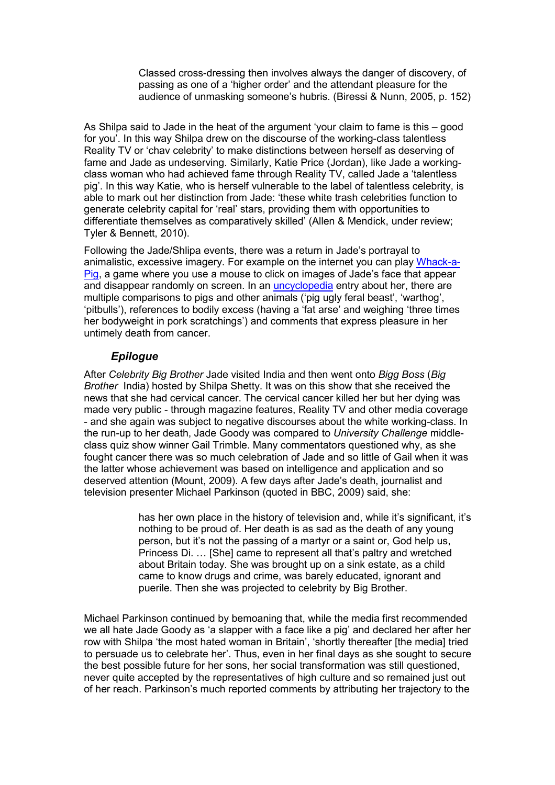Classed cross-dressing then involves always the danger of discovery, of passing as one of a 'higher order' and the attendant pleasure for the audience of unmasking someone's hubris. (Biressi & Nunn, 2005, p. 152)

As Shilpa said to Jade in the heat of the argument 'your claim to fame is this – good for you'. In this way Shilpa drew on the discourse of the working-class talentless Reality TV or 'chav celebrity' to make distinctions between herself as deserving of fame and Jade as undeserving. Similarly, Katie Price (Jordan), like Jade a workingclass woman who had achieved fame through Reality TV, called Jade a 'talentless pig'. In this way Katie, who is herself vulnerable to the label of talentless celebrity, is able to mark out her distinction from Jade: 'these white trash celebrities function to generate celebrity capital for 'real' stars, providing them with opportunities to differentiate themselves as comparatively skilled' (Allen & Mendick, under review; Tyler & Bennett, 2010).

Following the Jade/Shlipa events, there was a return in Jade's portrayal to animalistic, excessive imagery. For example on the internet you can play [Whack-a-](http://www.devinebydesign.co.uk/promotions/whack-a-pig.php)[Pig,](http://www.devinebydesign.co.uk/promotions/whack-a-pig.php) a game where you use a mouse to click on images of Jade's face that appear and disappear randomly on screen. In an [uncyclopedia](http://uncyclopedia.org/wiki/Jade_Goody) entry about her, there are multiple comparisons to pigs and other animals ('pig ugly feral beast', 'warthog', 'pitbulls'), references to bodily excess (having a 'fat arse' and weighing 'three times her bodyweight in pork scratchings') and comments that express pleasure in her untimely death from cancer.

#### *Epilogue*

After *Celebrity Big Brother* Jade visited India and then went onto *Bigg Boss* (*Big Brother* India) hosted by Shilpa Shetty. It was on this show that she received the news that she had cervical cancer. The cervical cancer killed her but her dying was made very public - through magazine features, Reality TV and other media coverage - and she again was subject to negative discourses about the white working-class. In the run-up to her death, Jade Goody was compared to *University Challenge* middleclass quiz show winner Gail Trimble. Many commentators questioned why, as she fought cancer there was so much celebration of Jade and so little of Gail when it was the latter whose achievement was based on intelligence and application and so deserved attention (Mount, 2009). A few days after Jade's death, journalist and television presenter Michael Parkinson (quoted in BBC, 2009) said, she:

> has her own place in the history of television and, while it's significant, it's nothing to be proud of. Her death is as sad as the death of any young person, but it's not the passing of a martyr or a saint or, God help us, Princess Di. … [She] came to represent all that's paltry and wretched about Britain today. She was brought up on a sink estate, as a child came to know drugs and crime, was barely educated, ignorant and puerile. Then she was projected to celebrity by Big Brother.

Michael Parkinson continued by bemoaning that, while the media first recommended we all hate Jade Goody as 'a slapper with a face like a pig' and declared her after her row with Shilpa 'the most hated woman in Britain', 'shortly thereafter [the media] tried to persuade us to celebrate her'. Thus, even in her final days as she sought to secure the best possible future for her sons, her social transformation was still questioned, never quite accepted by the representatives of high culture and so remained just out of her reach. Parkinson's much reported comments by attributing her trajectory to the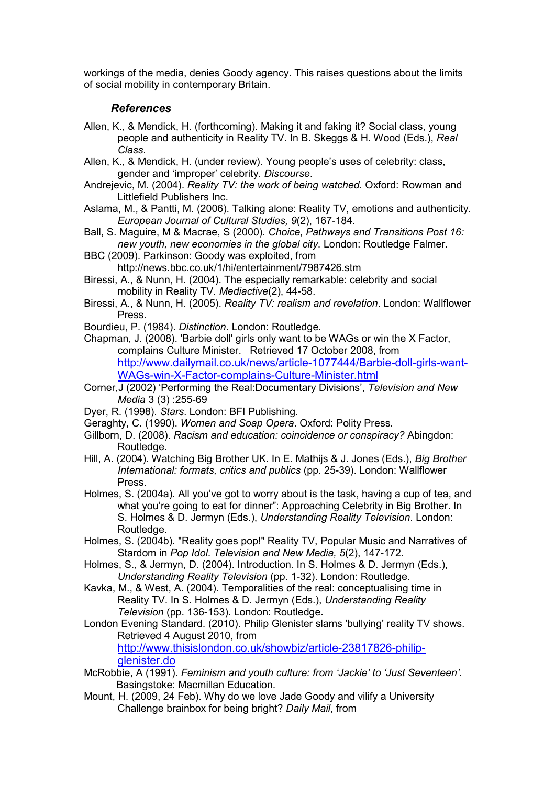workings of the media, denies Goody agency. This raises questions about the limits of social mobility in contemporary Britain.

#### *References*

- Allen, K., & Mendick, H. (forthcoming). Making it and faking it? Social class, young people and authenticity in Reality TV. In B. Skeggs & H. Wood (Eds.), *Real Class*.
- Allen, K., & Mendick, H. (under review). Young people's uses of celebrity: class, gender and 'improper' celebrity. *Discourse*.
- Andrejevic, M. (2004). *Reality TV: the work of being watched*. Oxford: Rowman and Littlefield Publishers Inc.
- Aslama, M., & Pantti, M. (2006). Talking alone: Reality TV, emotions and authenticity. *European Journal of Cultural Studies, 9*(2), 167-184.
- Ball, S. Maguire, M & Macrae, S (2000). *Choice, Pathways and Transitions Post 16: new youth, new economies in the global city*. London: Routledge Falmer.
- BBC (2009). Parkinson: Goody was exploited, from
	- http://news.bbc.co.uk/1/hi/entertainment/7987426.stm
- Biressi, A., & Nunn, H. (2004). The especially remarkable: celebrity and social mobility in Reality TV. *Mediactive*(2), 44-58.
- Biressi, A., & Nunn, H. (2005). *Reality TV: realism and revelation*. London: Wallflower Press.
- Bourdieu, P. (1984). *Distinction*. London: Routledge.
- Chapman, J. (2008). 'Barbie doll' girls only want to be WAGs or win the X Factor, complains Culture Minister. Retrieved 17 October 2008, from [http://www.dailymail.co.uk/news/article-1077444/Barbie-doll-girls-want](http://www.dailymail.co.uk/news/article-1077444/Barbie-doll-girls-want-WAGs-win-X-Factor-complains-Culture-Minister.html)-[WAGs-win-X-Factor-complains-Culture-Minister.htm](http://www.dailymail.co.uk/news/article-1077444/Barbie-doll-girls-want-WAGs-win-X-Factor-complains-Culture-Minister.html)l
- Corner,J (2002) 'Performing the Real:Documentary Divisions', *Television and New Media* 3 (3) :255-69
- Dyer, R. (1998). *Stars*. London: BFI Publishing.
- Geraghty, C. (1990). *Women and Soap Opera*. Oxford: Polity Press.
- Gillborn, D. (2008). *Racism and education: coincidence or conspiracy?* Abingdon: Routledge.
- Hill, A. (2004). Watching Big Brother UK. In E. Mathijs & J. Jones (Eds.), *Big Brother International: formats, critics and publics* (pp. 25-39). London: Wallflower Press.
- Holmes, S. (2004a). All you've got to worry about is the task, having a cup of tea, and what you're going to eat for dinner": Approaching Celebrity in Big Brother. In S. Holmes & D. Jermyn (Eds.), *Understanding Reality Television*. London: Routledge.
- Holmes, S. (2004b). "Reality goes pop!" Reality TV, Popular Music and Narratives of Stardom in *Pop Idol*. *Television and New Media, 5*(2), 147-172.
- Holmes, S., & Jermyn, D. (2004). Introduction. In S. Holmes & D. Jermyn (Eds.), *Understanding Reality Television* (pp. 1-32). London: Routledge.
- Kavka, M., & West, A. (2004). Temporalities of the real: conceptualising time in Reality TV. In S. Holmes & D. Jermyn (Eds.), *Understanding Reality Television* (pp. 136-153). London: Routledge.
- London Evening Standard. (2010). Philip Glenister slams 'bullying' reality TV shows. Retrieved 4 August 2010, from [http://www.thisislondon.co.uk/showbiz/article-23817826-philip](http://www.thisislondon.co.uk/showbiz/article-23817826-philip-glenister.do)[glenister.do](http://www.thisislondon.co.uk/showbiz/article-23817826-philip-glenister.do)
- McRobbie, A (1991). *Feminism and youth culture: from 'Jackie' to 'Just Seventeen'*. Basingstoke: Macmillan Education.
- Mount, H. (2009, 24 Feb). Why do we love Jade Goody and vilify a University Challenge brainbox for being bright? *Daily Mail*, from